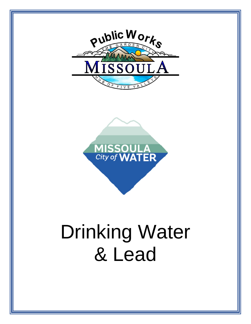

# Drinking Water & Lead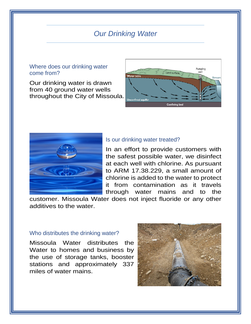# *Our Drinking Water*

#### Where does our drinking water come from?

Our drinking water is drawn from 40 ground water wells throughout the City of Missoula.





#### Is our drinking water treated?

In an effort to provide customers with the safest possible water, we disinfect at each well with chlorine. As pursuant to ARM 17.38.229, a small amount of chlorine is added to the water to protect it from contamination as it travels through water mains and to the

customer. Missoula Water does not inject fluoride or any other additives to the water.

#### Who distributes the drinking water?

Missoula Water distributes the Water to homes and business by the use of storage tanks, booster stations and approximately 337 miles of water mains.

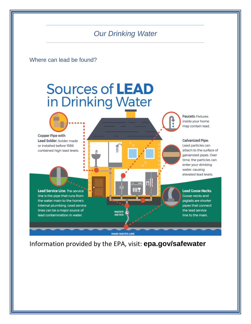# *Our Drinking Water*

Where can lead be found?

# Sources of LEAD in Drinking Water

**Faucets: Fixtures** inside your home may contain lead.

#### **Galvanized Pipe:**

Lead particles can attach to the surface of galvanized pipes. Over time, the particles can enter your drinking water, causing elevated lead levels.

**Lead Goose Necks:** Goose necks and pigtails are shorter pipes that connect the lead service line to the main.

Lead Service Line: The service line is the pipe that runs from the water main to the home's internal plumbing. Lead service lines can be a major source of lead contamination in water.

**Copper Pipe with** Lead Solder: Solder made

or installed before 1986

contained high lead levels.

**MAIN WATER LINE** 

WATER **METER** 

Information provided by the EPA, visit: **epa.gov/safewater**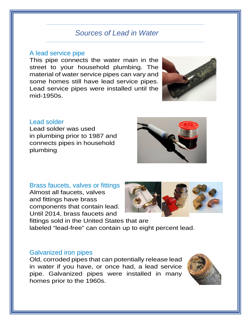# *Sources of Lead in Water*

#### A lead service pipe

This pipe connects the water main in the street to your household plumbing. The material of water service pipes can vary and some homes still have lead service pipes. Lead service pipes were installed until the mid-1950s.



#### Lead solder

Lead solder was used in plumbing prior to 1987 and connects pipes in household plumbing



## Brass faucets, valves or fittings

Almost all faucets, valves and fittings have brass components that contain lead. Until 2014, brass faucets and



fittings sold in the United States that are labeled "lead-free" can contain up to eight percent lead.

#### Galvanized iron pipes

Old, corroded pipes that can potentially release lead in water if you have, or once had, a lead service pipe. Galvanized pipes were installed in many homes prior to the 1960s.

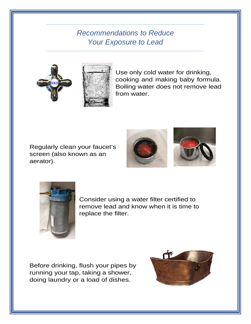# *Recommendations to Reduce Your Exposure to Lead*



Use only cold water for drinking, cooking and making baby formula. Boiling water does not remove lead from water.

Regularly clean your faucet's screen (also known as an aerator).





Consider using a water filter certified to remove lead and know when it is time to replace the filter.

Before drinking, flush your pipes by running your tap, taking a shower, doing laundry or a load of dishes.

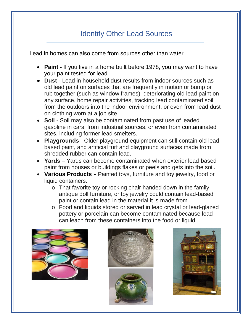# Identify Other Lead Sources

Lead in homes can also come from sources other than water.

- **Paint** If you live in a home built before 1978, you may want to have your paint tested for lead.
- **Dust** Lead in household dust results from indoor sources such as old lead paint on surfaces that are frequently in motion or bump or rub together (such as window frames), deteriorating old lead paint on any surface, home repair activities, tracking lead contaminated soil from the outdoors into the indoor environment, or even from lead dust on clothing worn at a job site.
- **Soil** Soil may also be contaminated from past use of leaded gasoline in cars, from industrial sources, or even from contaminated sites, including former lead smelters.
- **Playgrounds** Older playground equipment can still contain old leadbased paint, and artificial turf and playground surfaces made from shredded rubber can contain lead.
- **Yards** Yards can become contaminated when exterior lead-based paint from houses or buildings flakes or peels and gets into the soil.
- **Various Products** Painted toys, furniture and toy jewelry, food or liquid containers.
	- o That favorite toy or rocking chair handed down in the family, antique doll furniture, or toy jewelry could contain lead-based paint or contain lead in the material it is made from.
	- o Food and liquids stored or served in lead crystal or lead-glazed pottery or porcelain can become contaminated because lead can leach from these containers into the food or liquid.